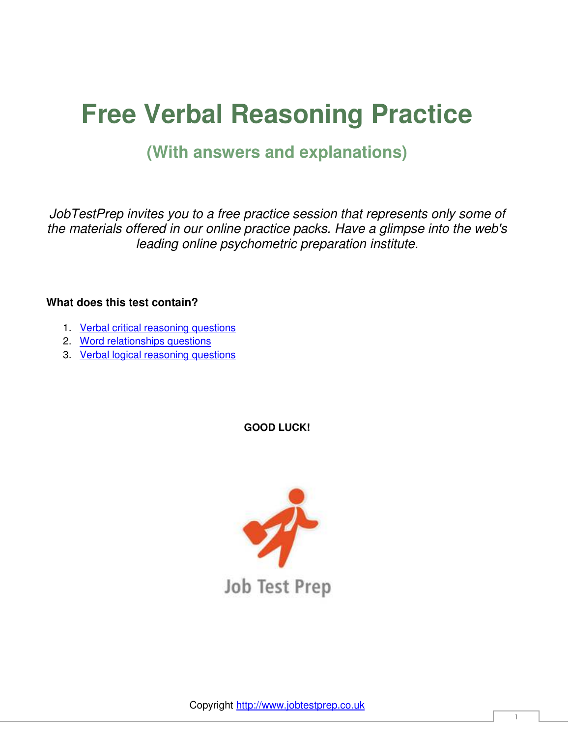# **Free Verbal Reasoning Practice**

### **(With answers and explanations)**

*JobTestPrep invites you to a free practice session that represents only some of the materials offered in our online practice packs. Have a glimpse into the web's leading online psychometric preparation institute.* 

#### **What does this test contain?**

- 1. [Verbal critical reasoning questions](#page-1-0)
- 2. [Word relationships questions](#page-4-0)
- 3. [Verbal logical reasoning questions](#page-7-0)

**GOOD LUCK!** 

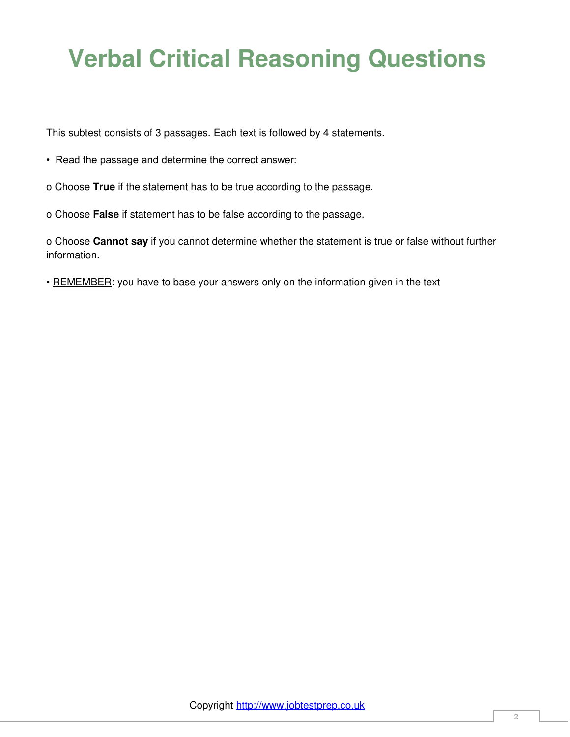## <span id="page-1-0"></span>**Verbal Critical Reasoning Questions**

This subtest consists of 3 passages. Each text is followed by 4 statements.

- Read the passage and determine the correct answer:
- o Choose **True** if the statement has to be true according to the passage.
- o Choose **False** if statement has to be false according to the passage.

o Choose **Cannot say** if you cannot determine whether the statement is true or false without further information.

• REMEMBER: you have to base your answers only on the information given in the text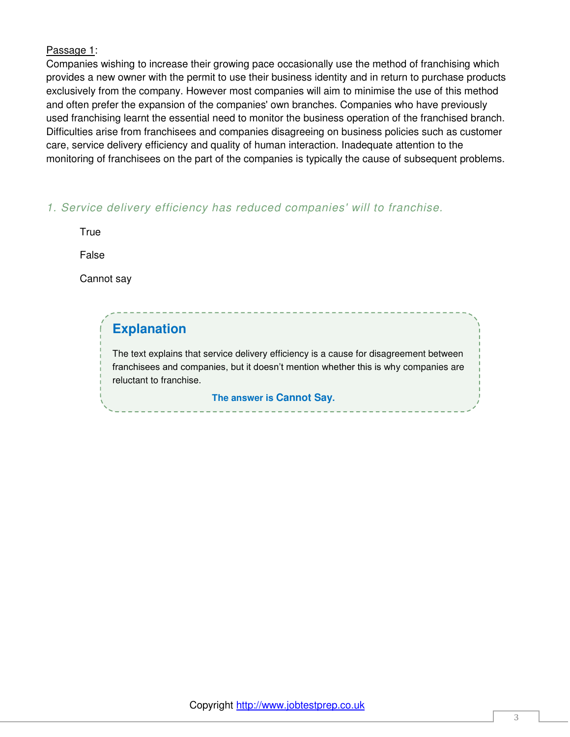#### Passage 1:

Companies wishing to increase their growing pace occasionally use the method of franchising which provides a new owner with the permit to use their business identity and in return to purchase products exclusively from the company. However most companies will aim to minimise the use of this method and often prefer the expansion of the companies' own branches. Companies who have previously used franchising learnt the essential need to monitor the business operation of the franchised branch. Difficulties arise from franchisees and companies disagreeing on business policies such as customer care, service delivery efficiency and quality of human interaction. Inadequate attention to the monitoring of franchisees on the part of the companies is typically the cause of subsequent problems.

*1. Service delivery efficiency has reduced companies' will to franchise.*

**True** 

False

Cannot say

### **Explanation**

The text explains that service delivery efficiency is a cause for disagreement between franchisees and companies, but it doesn't mention whether this is why companies are reluctant to franchise.

**The answer is Cannot Say.**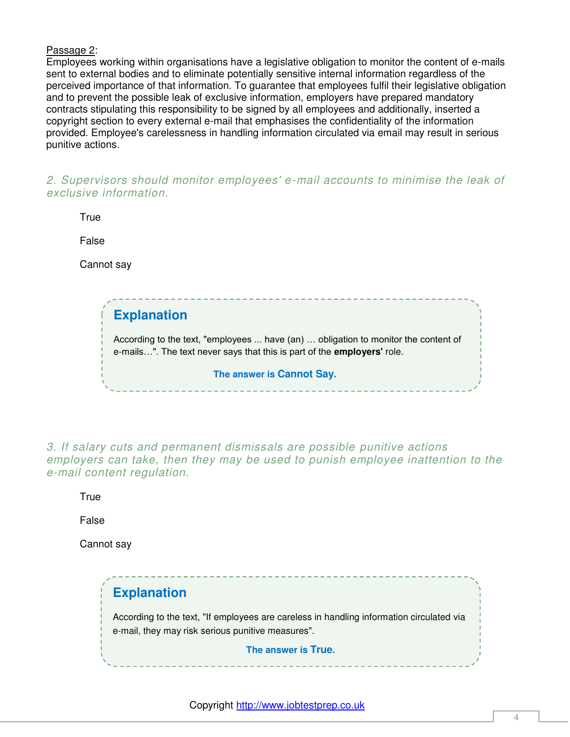#### Passage 2:

Employees working within organisations have a legislative obligation to monitor the content of e-mails sent to external bodies and to eliminate potentially sensitive internal information regardless of the perceived importance of that information. To guarantee that employees fulfil their legislative obligation and to prevent the possible leak of exclusive information, employers have prepared mandatory contracts stipulating this responsibility to be signed by all employees and additionally, inserted a copyright section to every external e-mail that emphasises the confidentiality of the information provided. Employee's carelessness in handling information circulated via email may result in serious punitive actions.

*2. Supervisors should monitor employees' e-mail accounts to minimise the leak of exclusive information.*

**True** 

False

Cannot say

**Explanation** According to the text, "employees ... have (an) … obligation to monitor the content of e-mails…". The text never says that this is part of the **employers'** role. **The answer is Cannot Say.**

*3. If salary cuts and permanent dismissals are possible punitive actions employers can take, then they may be used to punish employee inattention to the e-mail content regulation.*

**True** 

False

Cannot say

**Explanation** According to the text, "If employees are careless in handling information circulated via e-mail, they may risk serious punitive measures". **The answer is True.**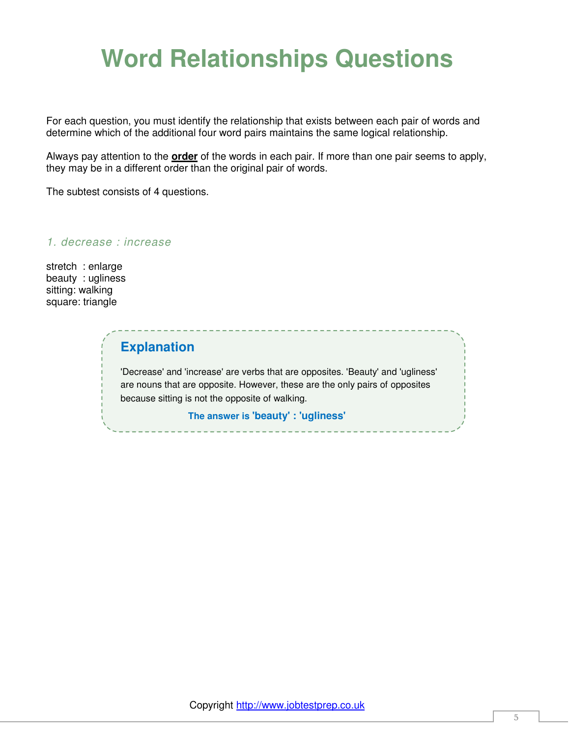## <span id="page-4-0"></span>**Word Relationships Questions**

For each question, you must identify the relationship that exists between each pair of words and determine which of the additional four word pairs maintains the same logical relationship.

Always pay attention to the **order** of the words in each pair. If more than one pair seems to apply, they may be in a different order than the original pair of words.

The subtest consists of 4 questions.

*1. decrease : increase*

stretch : enlarge beauty : ugliness sitting: walking square: triangle

### **Explanation**

'Decrease' and 'increase' are verbs that are opposites. 'Beauty' and 'ugliness' are nouns that are opposite. However, these are the only pairs of opposites because sitting is not the opposite of walking.

**The answer is 'beauty' : 'ugliness'**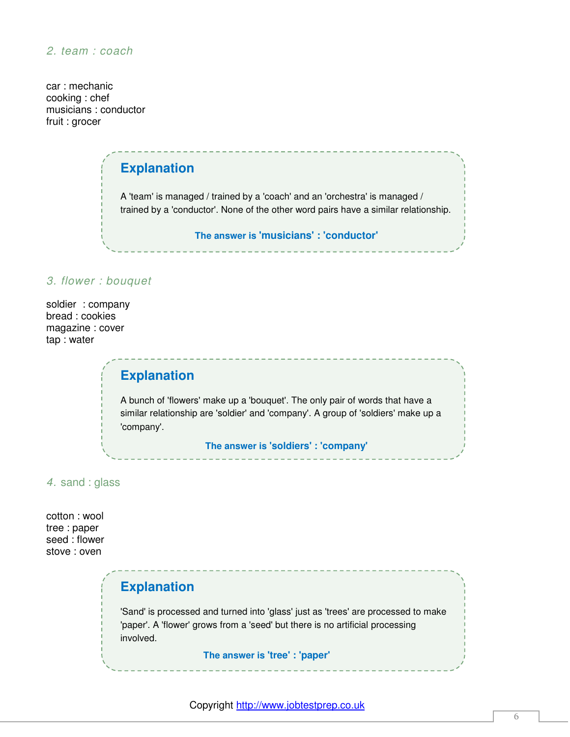car : mechanic cooking : chef musicians : conductor fruit : grocer

## **Explanation** A 'team' is managed / trained by a 'coach' and an 'orchestra' is managed / trained by a 'conductor'. None of the other word pairs have a similar relationship. **The answer is 'musicians' : 'conductor'**

#### *3. flower : bouquet*

soldier : company bread : cookies magazine : cover tap : water

### **Explanation**

A bunch of 'flowers' make up a 'bouquet'. The only pair of words that have a similar relationship are 'soldier' and 'company'. A group of 'soldiers' make up a 'company'.

**The answer is 'soldiers' : 'company'**

#### *4.* sand : glass

cotton : wool tree : paper seed : flower stove : oven

### **Explanation**

'Sand' is processed and turned into 'glass' just as 'trees' are processed to make 'paper'. A 'flower' grows from a 'seed' but there is no artificial processing involved.

**The answer is 'tree' : 'paper'**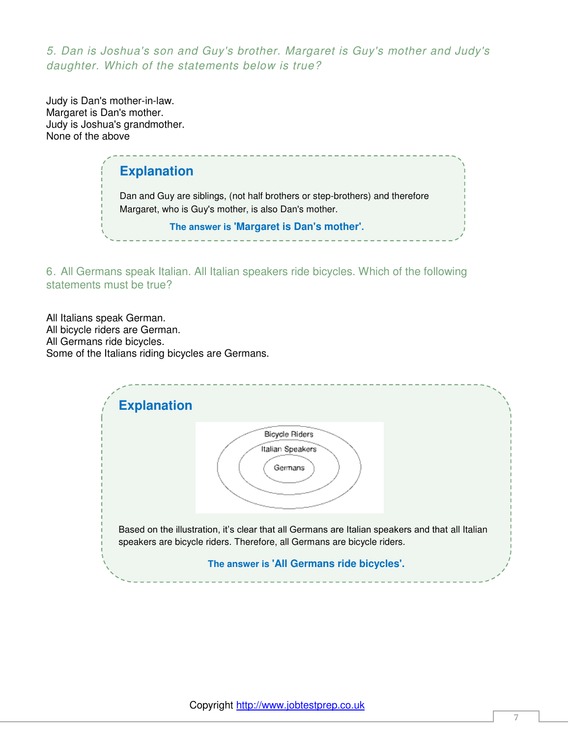*5. Dan is Joshua's son and Guy's brother. Margaret is Guy's mother and Judy's daughter. Which of the statements below is true?* 

Judy is Dan's mother-in-law. Margaret is Dan's mother. Judy is Joshua's grandmother. None of the above

> **Explanation** Dan and Guy are siblings, (not half brothers or step-brothers) and therefore Margaret, who is Guy's mother, is also Dan's mother. **The answer is 'Margaret is Dan's mother'.**

6. All Germans speak Italian. All Italian speakers ride bicycles. Which of the following statements must be true?

All Italians speak German. All bicycle riders are German. All Germans ride bicycles. Some of the Italians riding bicycles are Germans.